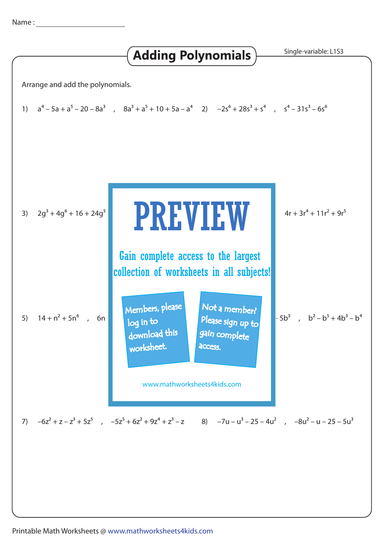